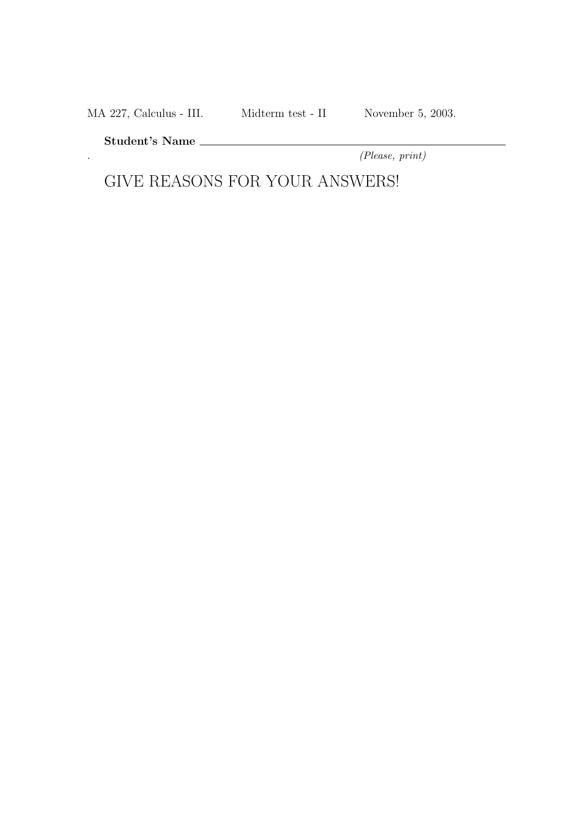MA 227, Calculus - III. Midterm test - II November 5, 2003.

Student's Name

. (Please, print)

GIVE REASONS FOR YOUR ANSWERS!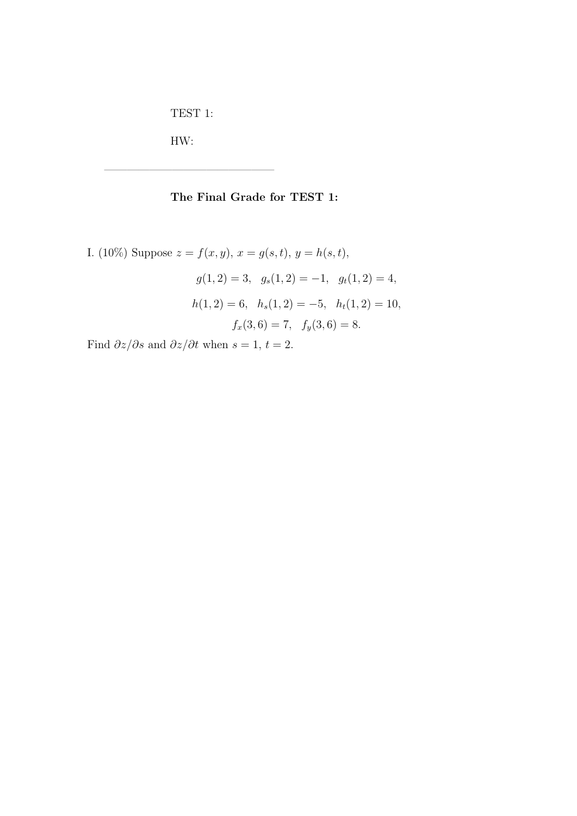TEST 1:

———————————————

HW:

## The Final Grade for TEST 1:

I. (10%) Suppose 
$$
z = f(x, y)
$$
,  $x = g(s, t)$ ,  $y = h(s, t)$ ,  
\n
$$
g(1, 2) = 3, g_s(1, 2) = -1, g_t(1, 2) = 4,
$$
\n
$$
h(1, 2) = 6, h_s(1, 2) = -5, h_t(1, 2) = 10,
$$
\n
$$
f_x(3, 6) = 7, f_y(3, 6) = 8.
$$
\nFind  $\partial z/\partial t$  when  $s = 1, t = 2$ 

Find  $\partial z/\partial s$  and  $\partial z/\partial t$  when  $s=1, t=2$ .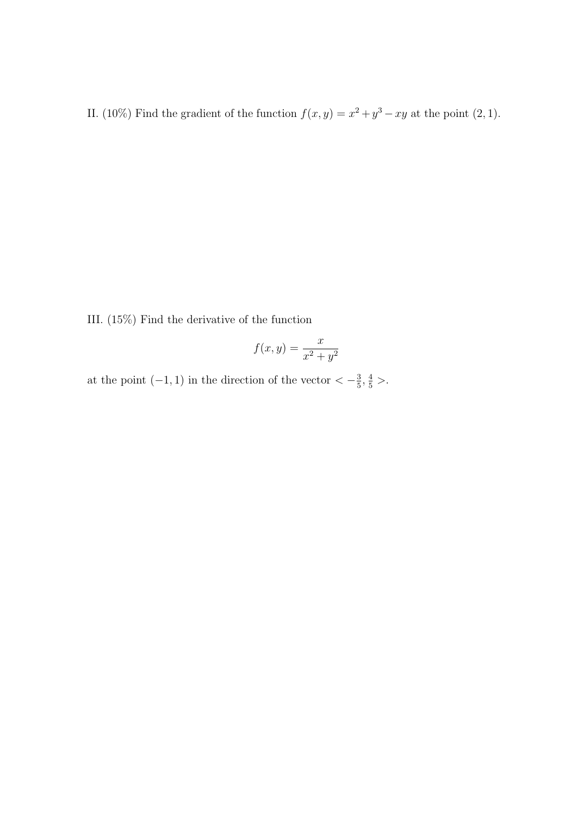II. (10%) Find the gradient of the function  $f(x, y) = x^2 + y^3 - xy$  at the point (2, 1).

III. (15%) Find the derivative of the function

$$
f(x,y) = \frac{x}{x^2 + y^2}
$$

at the point  $(-1, 1)$  in the direction of the vector  $\langle -\frac{3}{5}$  $\frac{3}{5}, \frac{4}{5}$  >.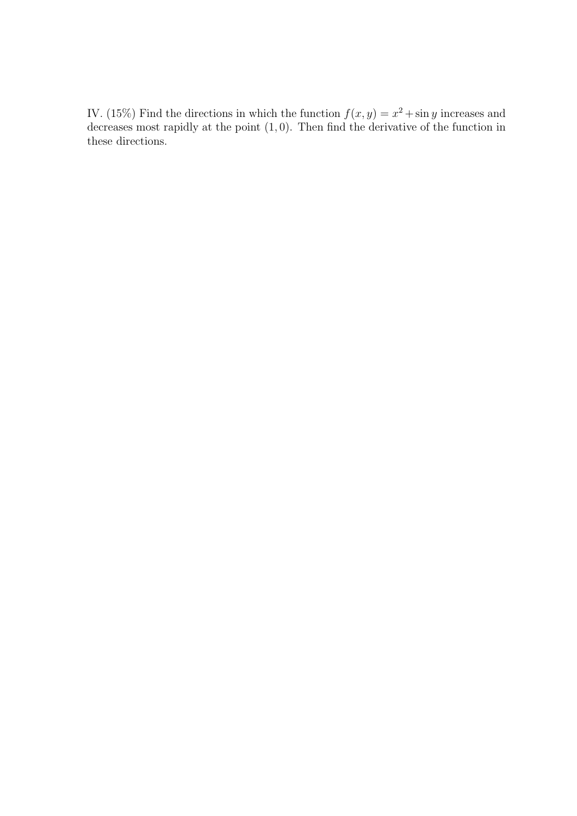IV. (15%) Find the directions in which the function  $f(x, y) = x^2 + \sin y$  increases and decreases most rapidly at the point (1, 0). Then find the derivative of the function in these directions.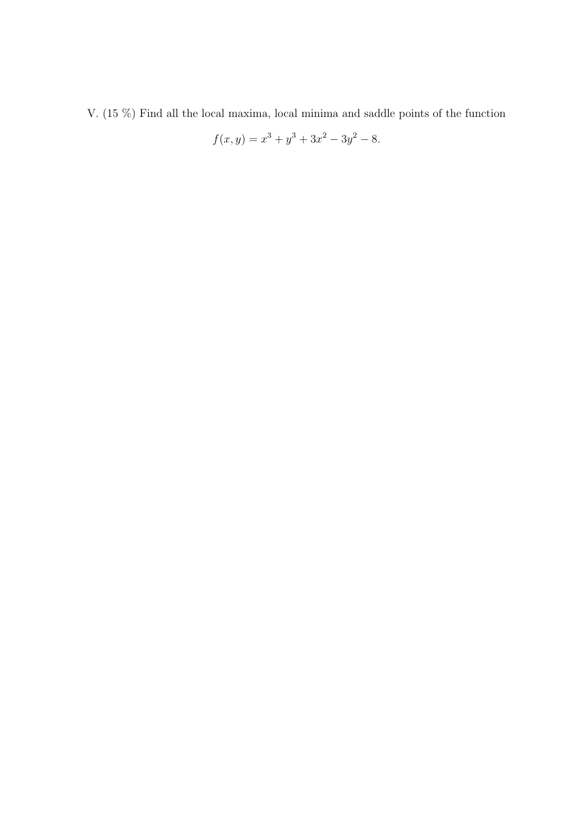V. (15 %) Find all the local maxima, local minima and saddle points of the function

$$
f(x, y) = x^3 + y^3 + 3x^2 - 3y^2 - 8.
$$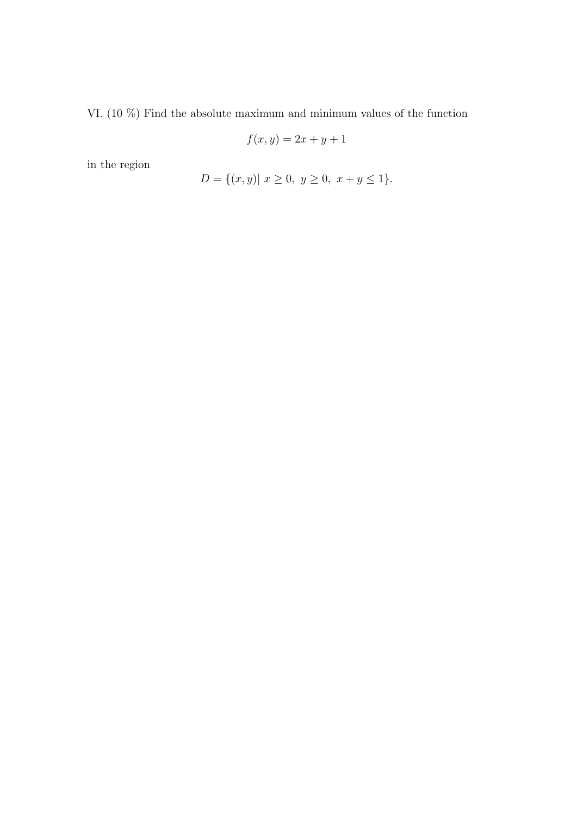VI. (10 %) Find the absolute maximum and minimum values of the function

$$
f(x,y) = 2x + y + 1
$$

in the region

$$
D = \{(x, y) | x \ge 0, y \ge 0, x + y \le 1\}.
$$